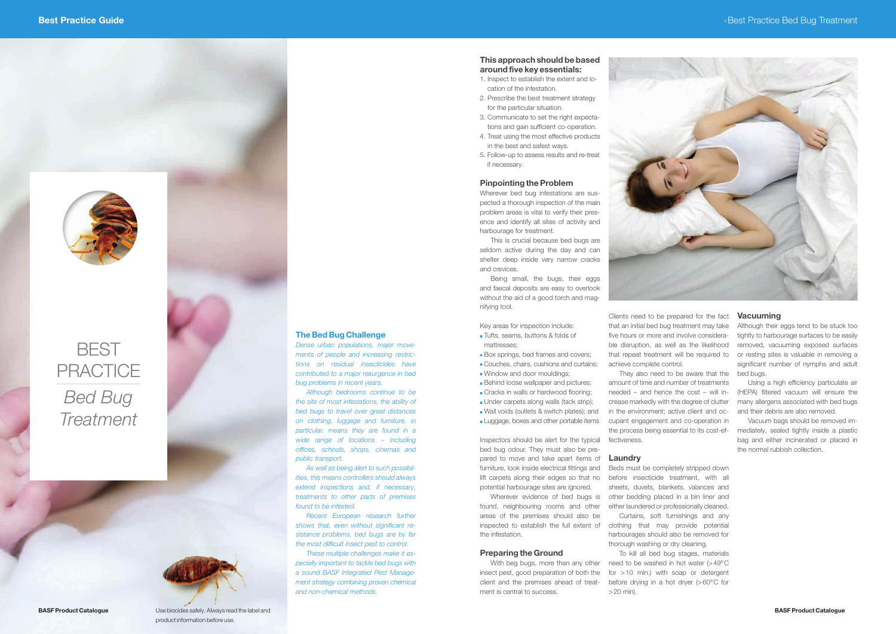

# **BEST PRACTICE** Bed Bug **Treatment**



# The Bed Bug Challenge

Dense urban populations, major movements of people and increasing restrictions on residual insecticides have contributed to a major resurgence in bed bug problems in recent years.

Although bedrooms continue to be the site of most infestations, the ability of bed bugs to travel over great distances on clothing, luggage and furniture, in particular, means they are found in a wide range of locations – including offices, schools, shops, cinemas and public transport.

As well as being alert to such possibilities, this means controllers should always extend inspections and, if necessary, treatments to other parts of premises found to be infested.

Recent European research further shows that, even without significant resistance problems, bed bugs are by far the most difficult insect pest to control.

These multiple challenges make it especially important to tackle bed bugs with a sound BASF Integrated Pest Management strategy combining proven chemical and non-chemical methods.

# This approach should be based around five key essentials:

- 1. Inspect to establish the extent and location of the infestation.
- 2. Prescribe the best treatment strategy for the particular situation.
- 3. Communicate to set the right expectations and gain sufficient co-operation.
- 4. Treat using the most effective products in the best and safest ways.
- 5. Follow-up to assess results and re-treat if necessary.

Wherever evidence of bed bugs is found, neighbouring rooms and other areas of the premises should also be inspected to establish the full extent of the infestation.

#### Pinpointing the Problem

Wherever bed bug infestations are suspected a thorough inspection of the main problem areas is vital to verify their presence and identify all sites of activity and harbourage for treatment.

This is crucial because bed bugs are seldom active during the day and can shelter deep inside very narrow cracks and crevices.

> To kill all bed bug stages, materials need to be washed in hot water  $(>49^{\circ}C)$ for >10 min.) with soap or detergent before drying in a hot dryer (>60ºC for  $>20$  min).



Being small, the bugs, their eggs and faecal deposits are easy to overlook without the aid of a good torch and magnifying tool.

Key areas for inspection include:

- **Tufts, seams, buttons & folds of** mattresses;
- Box springs, bed frames and covers;
- Couches, chairs, cushions and curtains;
- Window and door mouldings;
- **Behind loose wallpaper and pictures;**
- Cracks in walls or hardwood flooring:
- Under carpets along walls (tack strip);
- Wall voids (outlets & switch plates); and
- **Luggage, boxes and other portable items**

**BASF Product Catalogue** Use biocides safely. Always read the label and product information before use.

Inspectors should be alert for the typical bed bug odour. They must also be prepared to move and take apart items of furniture, look inside electrical fittings and lift carpets along their edges so that no potential harbourage sites are ignored.

#### Preparing the Ground

With beg bugs, more than any other insect pest, good preparation of both the client and the premises ahead of treatment is central to success.

Clients need to be prepared for the fact that an initial bed bug treatment may take five hours or more and involve considerable disruption, as well as the likelihood that repeat treatment will be required to achieve complete control.

They also need to be aware that the amount of time and number of treatments needed – and hence the cost – will increase markedly with the degree of clutter in the environment; active client and occupant engagement and co-operation in the process being essential to its cost-effectiveness.

### Laundry

Beds must be completely stripped down before insecticide treatment, with all sheets, duvets, blankets, valances and other bedding placed in a bin liner and either laundered or professionally cleaned. Curtains, soft furnishings and any clothing that may provide potential harbourages should also be removed for thorough washing or dry cleaning.

# Vacuuming

Although their eggs tend to be stuck too tightly to harbourage surfaces to be easily removed, vacuuming exposed surfaces or resting sites is valuable in removing a significant number of nymphs and adult bed bugs.

Using a high efficiency particulate air (HEPA) filtered vacuum will ensure the many allergens associated with bed bugs and their debris are also removed.

Vacuum bags should be removed immediately, sealed tightly inside a plastic bag and either incinerated or placed in the normal rubbish collection.